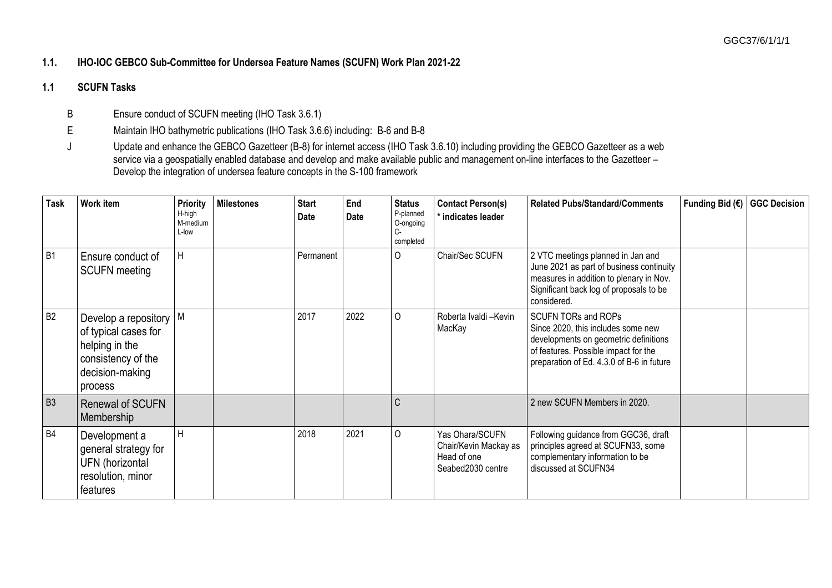## **1.1. IHO-IOC GEBCO Sub-Committee for Undersea Feature Names (SCUFN) Work Plan 2021-22**

## **1.1 SCUFN Tasks**

B Ensure conduct of SCUFN meeting (IHO Task 3.6.1)

E Maintain IHO bathymetric publications (IHO Task 3.6.6) including: B-6 and B-8

J Update and enhance the GEBCO Gazetteer (B-8) for internet access (IHO Task 3.6.10) including providing the GEBCO Gazetteer as a web service via a geospatially enabled database and develop and make available public and management on-line interfaces to the Gazetteer – Develop the integration of undersea feature concepts in the S-100 framework

| <b>Task</b>    | Work item                                                                                                                          | <b>Priority</b><br>H-high<br>M-medium<br>L-low | <b>Milestones</b> | <b>Start</b><br>Date | End<br>Date | <b>Status</b><br>P-planned<br>O-ongoing<br>completed | <b>Contact Person(s)</b><br>* indicates leader                               | <b>Related Pubs/Standard/Comments</b>                                                                                                                                                          | Funding Bid (€) | <b>GGC Decision</b> |
|----------------|------------------------------------------------------------------------------------------------------------------------------------|------------------------------------------------|-------------------|----------------------|-------------|------------------------------------------------------|------------------------------------------------------------------------------|------------------------------------------------------------------------------------------------------------------------------------------------------------------------------------------------|-----------------|---------------------|
| B <sub>1</sub> | Ensure conduct of<br><b>SCUFN</b> meeting                                                                                          | Η                                              |                   | Permanent            |             | $\Omega$                                             | Chair/Sec SCUFN                                                              | 2 VTC meetings planned in Jan and<br>June 2021 as part of business continuity<br>measures in addition to plenary in Nov.<br>Significant back log of proposals to be<br>considered.             |                 |                     |
| B <sub>2</sub> | Develop a repository $\vert M \vert$<br>of typical cases for<br>helping in the<br>consistency of the<br>decision-making<br>process |                                                |                   | 2017                 | 2022        | $\circ$                                              | Roberta Ivaldi -Kevin<br>MacKay                                              | <b>SCUFN TORs and ROPs</b><br>Since 2020, this includes some new<br>developments on geometric definitions<br>of features. Possible impact for the<br>preparation of Ed. 4.3.0 of B-6 in future |                 |                     |
| B <sub>3</sub> | <b>Renewal of SCUFN</b><br>Membership                                                                                              |                                                |                   |                      |             | C                                                    |                                                                              | 2 new SCUFN Members in 2020.                                                                                                                                                                   |                 |                     |
| <b>B4</b>      | Development a<br>general strategy for<br>UFN (horizontal<br>resolution, minor<br>features                                          | H                                              |                   | 2018                 | 2021        | $\circ$                                              | Yas Ohara/SCUFN<br>Chair/Kevin Mackay as<br>Head of one<br>Seabed2030 centre | Following guidance from GGC36, draft<br>principles agreed at SCUFN33, some<br>complementary information to be<br>discussed at SCUFN34                                                          |                 |                     |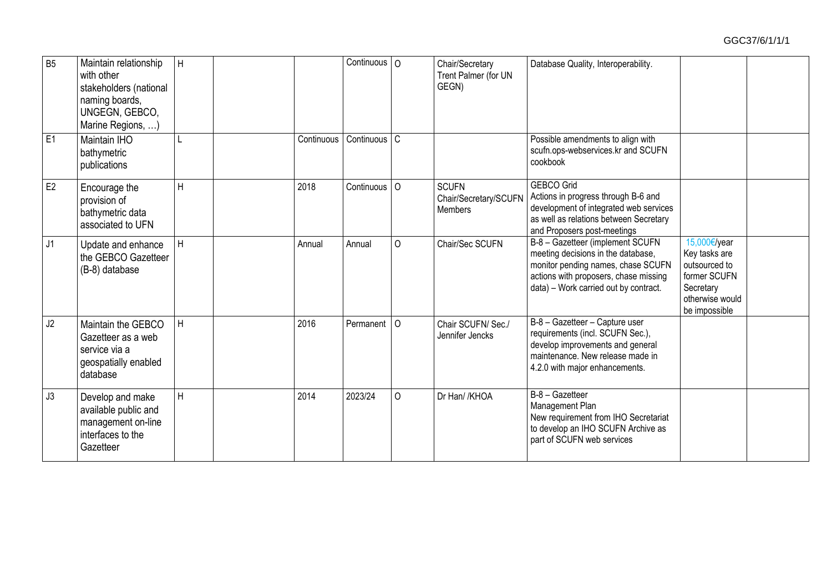| <b>B5</b> | Maintain relationship<br>with other<br>stakeholders (national<br>naming boards,<br>UNGEGN, GEBCO,<br>Marine Regions, ) | H            |            | $\overline{C}$ ontinuous   $\overline{O}$ |          | Chair/Secretary<br>Trent Palmer (for UN<br>GEGN) | Database Quality, Interoperability.                                                                                                                                                            |                                                                                                                 |  |
|-----------|------------------------------------------------------------------------------------------------------------------------|--------------|------------|-------------------------------------------|----------|--------------------------------------------------|------------------------------------------------------------------------------------------------------------------------------------------------------------------------------------------------|-----------------------------------------------------------------------------------------------------------------|--|
| E1        | Maintain IHO<br>bathymetric<br>publications                                                                            |              | Continuous | Continuous <sup>C</sup>                   |          |                                                  | Possible amendments to align with<br>scufn.ops-webservices.kr and SCUFN<br>cookbook                                                                                                            |                                                                                                                 |  |
| E2        | Encourage the<br>provision of<br>bathymetric data<br>associated to UFN                                                 | H            | 2018       | Continuous   O                            |          | <b>SCUFN</b><br>Chair/Secretary/SCUFN<br>Members | <b>GEBCO Grid</b><br>Actions in progress through B-6 and<br>development of integrated web services<br>as well as relations between Secretary<br>and Proposers post-meetings                    |                                                                                                                 |  |
| J1        | Update and enhance<br>the GEBCO Gazetteer<br>(B-8) database                                                            | H            | Annual     | Annual                                    | $\Omega$ | Chair/Sec SCUFN                                  | B-8 - Gazetteer (implement SCUFN<br>meeting decisions in the database,<br>monitor pending names, chase SCUFN<br>actions with proposers, chase missing<br>data) - Work carried out by contract. | 15,000€/year<br>Key tasks are<br>outsourced to<br>former SCUFN<br>Secretary<br>otherwise would<br>be impossible |  |
| J2        | Maintain the GEBCO<br>Gazetteer as a web<br>service via a<br>geospatially enabled<br>database                          | H            | 2016       | Permanent   O                             |          | Chair SCUFN/ Sec./<br>Jennifer Jencks            | B-8 - Gazetteer - Capture user<br>requirements (incl. SCUFN Sec.),<br>develop improvements and general<br>maintenance. New release made in<br>4.2.0 with major enhancements.                   |                                                                                                                 |  |
| J3        | Develop and make<br>available public and<br>management on-line<br>interfaces to the<br>Gazetteer                       | $\mathsf{H}$ | 2014       | 2023/24                                   | $\circ$  | Dr Han/ /KHOA                                    | B-8 - Gazetteer<br>Management Plan<br>New requirement from IHO Secretariat<br>to develop an IHO SCUFN Archive as<br>part of SCUFN web services                                                 |                                                                                                                 |  |